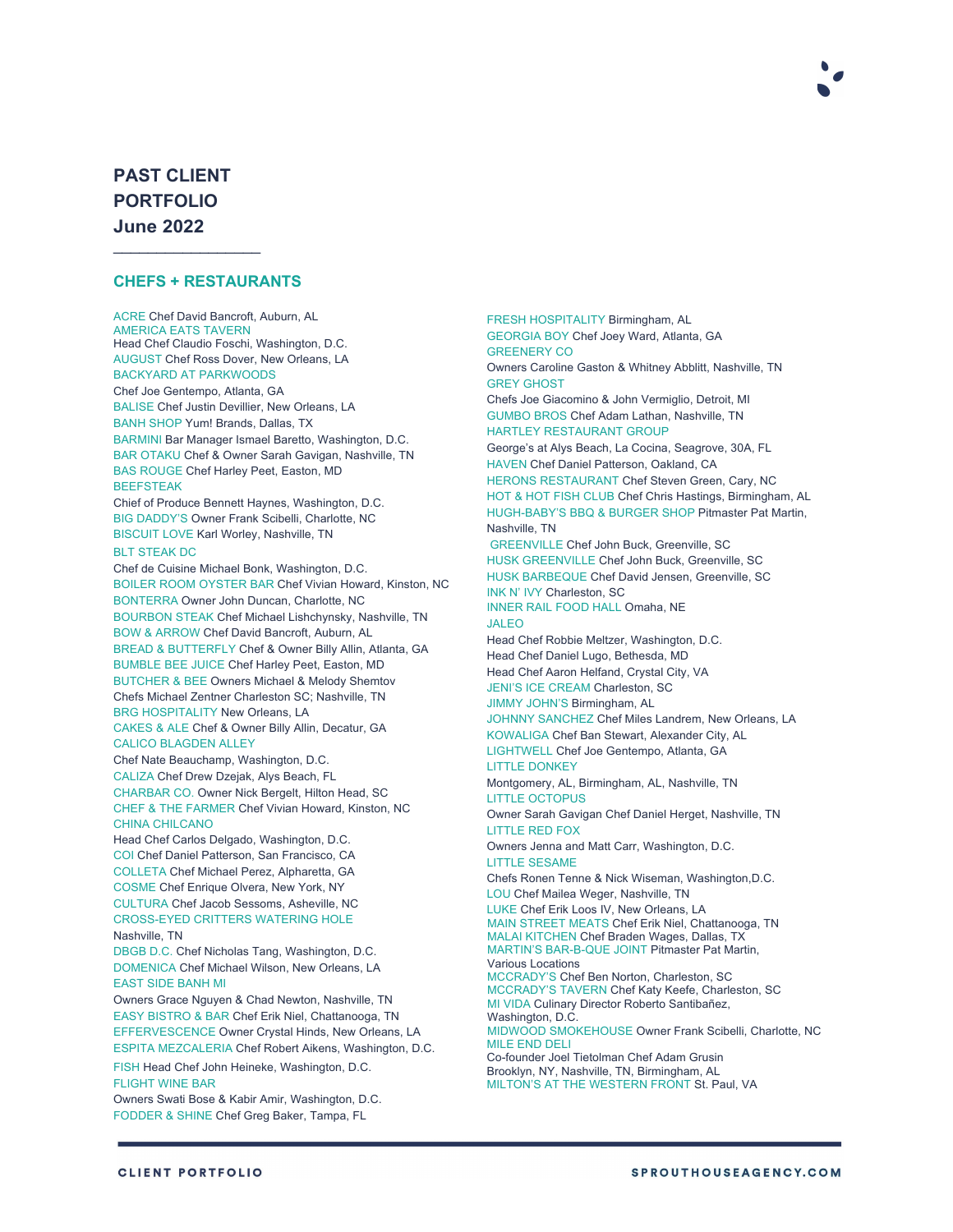# **PAST CLIENT PORTFOLIO June 2022**

#### **CHEFS + RESTAURANTS**

 $\mathcal{L}_\text{max}$  , where  $\mathcal{L}_\text{max}$ 

ACRE Chef David Bancroft, Auburn, AL AMERICA EATS TAVERN Head Chef Claudio Foschi, Washington, D.C. AUGUST Chef Ross Dover, New Orleans, LA BACKYARD AT PARKWOODS Chef Joe Gentempo, Atlanta, GA BALISE Chef Justin Devillier, New Orleans, LA BANH SHOP Yum! Brands, Dallas, TX BARMINI Bar Manager Ismael Baretto, Washington, D.C. BAR OTAKU Chef & Owner Sarah Gavigan, Nashville, TN BAS ROUGE Chef Harley Peet, Easton, MD BEEFSTEAK Chief of Produce Bennett Haynes, Washington, D.C. BIG DADDY'S Owner Frank Scibelli, Charlotte, NC BISCUIT LOVE Karl Worley, Nashville, TN BLT STEAK DC Chef de Cuisine Michael Bonk, Washington, D.C. BOILER ROOM OYSTER BAR Chef Vivian Howard, Kinston, NC BONTERRA Owner John Duncan, Charlotte, NC BOURBON STEAK Chef Michael Lishchynsky, Nashville, TN BOW & ARROW Chef David Bancroft, Auburn, AL BREAD & BUTTERFLY Chef & Owner Billy Allin, Atlanta, GA BUMBLE BEE JUICE Chef Harley Peet, Easton, MD BUTCHER & BEE Owners Michael & Melody Shemtov Chefs Michael Zentner Charleston SC; Nashville, TN BRG HOSPITALITY New Orleans, LA CAKES & ALE Chef & Owner Billy Allin, Decatur, GA CALICO BLAGDEN ALLEY Chef Nate Beauchamp, Washington, D.C. CALIZA Chef Drew Dzejak, Alys Beach, FL CHARBAR CO. Owner Nick Bergelt, Hilton Head, SC CHEF & THE FARMER Chef Vivian Howard, Kinston, NC CHINA CHILCANO Head Chef Carlos Delgado, Washington, D.C. COI Chef Daniel Patterson, San Francisco, CA COLLETA Chef Michael Perez, Alpharetta, GA COSME Chef Enrique Olvera, New York, NY CULTURA Chef Jacob Sessoms, Asheville, NC CROSS-EYED CRITTERS WATERING HOLE Nashville, TN DBGB D.C. Chef Nicholas Tang, Washington, D.C. DOMENICA Chef Michael Wilson, New Orleans, LA EAST SIDE BANH MI Owners Grace Nguyen & Chad Newton, Nashville, TN EASY BISTRO & BAR Chef Erik Niel, Chattanooga, TN EFFERVESCENCE Owner Crystal Hinds, New Orleans, LA ESPITA MEZCALERIA Chef Robert Aikens, Washington, D.C. FISH Head Chef John Heineke, Washington, D.C. FLIGHT WINE BAR Owners Swati Bose & Kabir Amir, Washington, D.C. FODDER & SHINE Chef Greg Baker, Tampa, FL

GEORGIA BOY Chef Joey Ward, Atlanta, GA GREENERY CO Owners Caroline Gaston & Whitney Abblitt, Nashville, TN GREY GHOST Chefs Joe Giacomino & John Vermiglio, Detroit, MI GUMBO BROS Chef Adam Lathan, Nashville, TN HARTLEY RESTAURANT GROUP George's at Alys Beach, La Cocina, Seagrove, 30A, FL HAVEN Chef Daniel Patterson, Oakland, CA HERONS RESTAURANT Chef Steven Green, Cary, NC HOT & HOT FISH CLUB Chef Chris Hastings, Birmingham, AL HUGH-BABY'S BBQ & BURGER SHOP Pitmaster Pat Martin, Nashville, TN GREENVILLE Chef John Buck, Greenville, SC HUSK GREENVILLE Chef John Buck, Greenville, SC HUSK BARBEQUE Chef David Jensen, Greenville, SC INK N' IVY Charleston, SC INNER RAIL FOOD HALL Omaha, NE JALEO Head Chef Robbie Meltzer, Washington, D.C. Head Chef Daniel Lugo, Bethesda, MD Head Chef Aaron Helfand, Crystal City, VA JENI'S ICE CREAM Charleston, SC JIMMY JOHN'S Birmingham, AL JOHNNY SANCHEZ Chef Miles Landrem, New Orleans, LA KOWALIGA Chef Ban Stewart, Alexander City, AL LIGHTWELL Chef Joe Gentempo, Atlanta, GA LITTLE DONKEY Montgomery, AL, Birmingham, AL, Nashville, TN LITTLE OCTOPUS Owner Sarah Gavigan Chef Daniel Herget, Nashville, TN LITTLE RED FOX Owners Jenna and Matt Carr, Washington, D.C. LITTLE SESAME Chefs Ronen Tenne & Nick Wiseman, Washington,D.C. LOU Chef Mailea Weger, Nashville, TN LUKE Chef Erik Loos IV, New Orleans, LA MAIN STREET MEATS Chef Erik Niel, Chattanooga, TN MALAI KITCHEN Chef Braden Wages, Dallas, TX MARTIN'S BAR-B-QUE JOINT Pitmaster Pat Martin, Various Locations MCCRADY'S Chef Ben Norton, Charleston, SC MCCRADY'S TAVERN Chef Katy Keefe, Charleston, SC MI VIDA Culinary Director Roberto Santibañez, Washington, D.C. MIDWOOD SMOKEHOUSE Owner Frank Scibelli, Charlotte, NC MILE END DELI Co-founder Joel Tietolman Chef Adam Grusin Brooklyn, NY, Nashville, TN, Birmingham, AL MILTON'S AT THE WESTERN FRONT St. Paul, VA

FRESH HOSPITALITY Birmingham, AL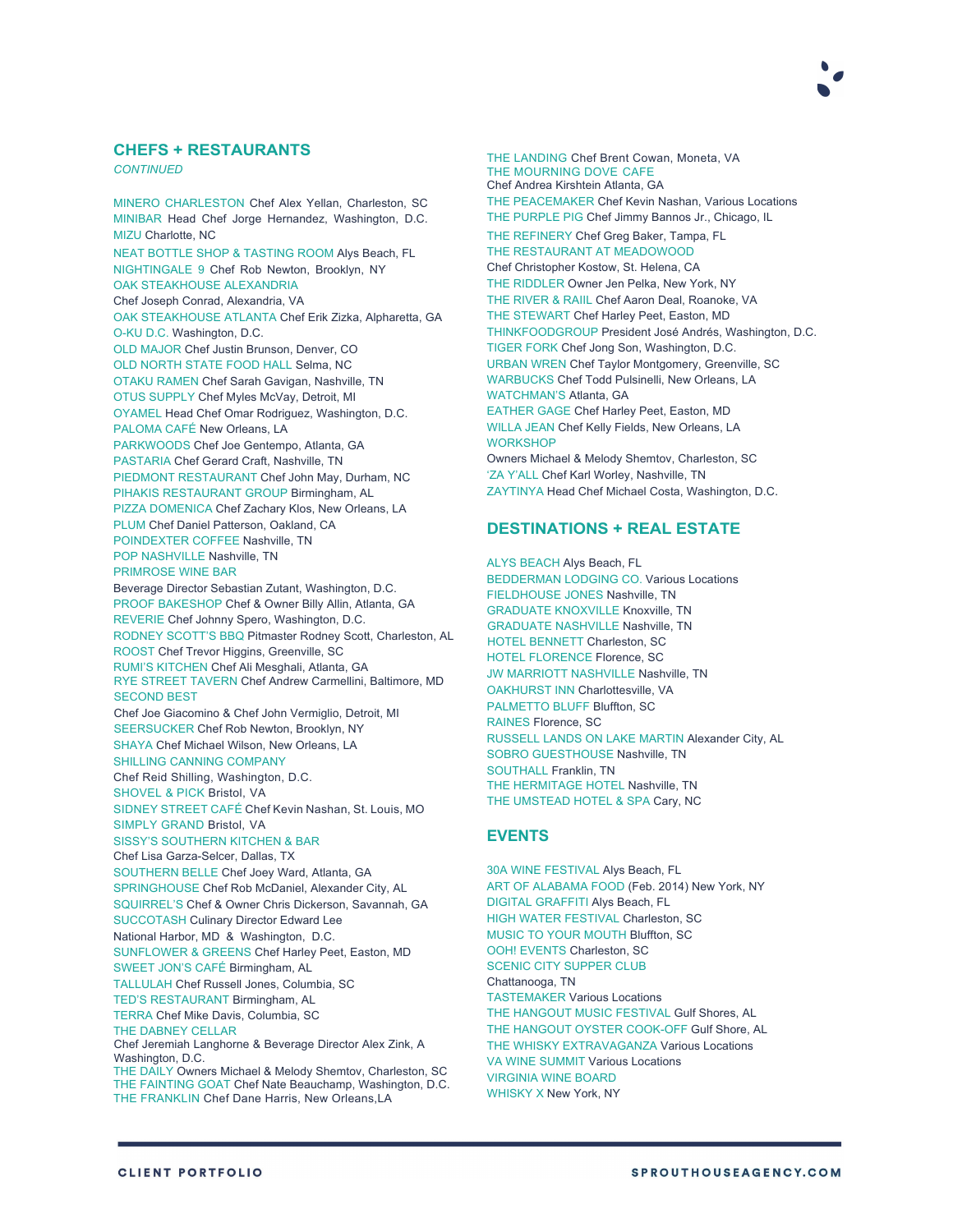

## **CHEFS + RESTAURANTS**

*CONTINUED*

MINERO CHARLESTON Chef Alex Yellan, Charleston, SC MINIBAR Head Chef Jorge Hernandez, Washington, D.C. MIZU Charlotte, NC NEAT BOTTLE SHOP & TASTING ROOM Alys Beach, FL NIGHTINGALE 9 Chef Rob Newton, Brooklyn, NY OAK STEAKHOUSE ALEXANDRIA Chef Joseph Conrad, Alexandria, VA OAK STEAKHOUSE ATLANTA Chef Erik Zizka, Alpharetta, GA O-KU D.C. Washington, D.C. OLD MAJOR Chef Justin Brunson, Denver, CO OLD NORTH STATE FOOD HALL Selma, NC OTAKU RAMEN Chef Sarah Gavigan, Nashville, TN OTUS SUPPLY Chef Myles McVay, Detroit, MI OYAMEL Head Chef Omar Rodriguez, Washington, D.C. PALOMA CAFÉ New Orleans, LA PARKWOODS Chef Joe Gentempo, Atlanta, GA PASTARIA Chef Gerard Craft, Nashville, TN PIEDMONT RESTAURANT Chef John May, Durham, NC PIHAKIS RESTAURANT GROUP Birmingham, AL PIZZA DOMENICA Chef Zachary Klos, New Orleans, LA PLUM Chef Daniel Patterson, Oakland, CA POINDEXTER COFFEE Nashville, TN POP NASHVILLE Nashville, TN PRIMROSE WINE BAR Beverage Director Sebastian Zutant, Washington, D.C. PROOF BAKESHOP Chef & Owner Billy Allin, Atlanta, GA REVERIE Chef Johnny Spero, Washington, D.C. RODNEY SCOTT'S BBQ Pitmaster Rodney Scott, Charleston, AL ROOST Chef Trevor Higgins, Greenville, SC RUMI'S KITCHEN Chef Ali Mesghali, Atlanta, GA RYE STREET TAVERN Chef Andrew Carmellini, Baltimore, MD SECOND BEST Chef Joe Giacomino & Chef John Vermiglio, Detroit, MI SEERSUCKER Chef Rob Newton, Brooklyn, NY SHAYA Chef Michael Wilson, New Orleans, LA SHILLING CANNING COMPANY Chef Reid Shilling, Washington, D.C. SHOVEL & PICK Bristol, VA SIDNEY STREET CAFÉ Chef Kevin Nashan, St. Louis, MO SIMPLY GRAND Bristol, VA SISSY'S SOUTHERN KITCHEN & BAR Chef Lisa Garza-Selcer, Dallas, TX SOUTHERN BELLE Chef Joey Ward, Atlanta, GA SPRINGHOUSE Chef Rob McDaniel, Alexander City, AL SQUIRREL'S Chef & Owner Chris Dickerson, Savannah, GA SUCCOTASH Culinary Director Edward Lee National Harbor, MD & Washington, D.C. SUNFLOWER & GREENS Chef Harley Peet, Easton, MD SWEET JON'S CAFÉ Birmingham, AL TALLULAH Chef Russell Jones, Columbia, SC TED'S RESTAURANT Birmingham, AL TERRA Chef Mike Davis, Columbia, SC THE DABNEY CELLAR Chef Jeremiah Langhorne & Beverage Director Alex Zink, A Washington, D.C. THE DAILY Owners Michael & Melody Shemtov, Charleston, SC THE FAINTING GOAT Chef Nate Beauchamp, Washington, D.C. THE FRANKLIN Chef Dane Harris, New Orleans,LA

THE LANDING Chef Brent Cowan, Moneta, VA THE MOURNING DOVE CAFE Chef Andrea Kirshtein Atlanta, GA THE PEACEMAKER Chef Kevin Nashan, Various Locations THE PURPLE PIG Chef Jimmy Bannos Jr., Chicago, IL THE REFINERY Chef Greg Baker, Tampa, FL THE RESTAURANT AT MEADOWOOD Chef Christopher Kostow, St. Helena, CA THE RIDDLER Owner Jen Pelka, New York, NY THE RIVER & RAIIL Chef Aaron Deal, Roanoke, VA THE STEWART Chef Harley Peet, Easton, MD THINKFOODGROUP President José Andrés, Washington, D.C. TIGER FORK Chef Jong Son, Washington, D.C. URBAN WREN Chef Taylor Montgomery, Greenville, SC WARBUCKS Chef Todd Pulsinelli, New Orleans, LA WATCHMAN'S Atlanta, GA EATHER GAGE Chef Harley Peet, Easton, MD WILLA JEAN Chef Kelly Fields, New Orleans, LA **WORKSHOP** Owners Michael & Melody Shemtov, Charleston, SC 'ZA Y'ALL Chef Karl Worley, Nashville, TN ZAYTINYA Head Chef Michael Costa, Washington, D.C.

## **DESTINATIONS + REAL ESTATE**

ALYS BEACH Alys Beach, FL BEDDERMAN LODGING CO. Various Locations FIELDHOUSE JONES Nashville, TN GRADUATE KNOXVILLE Knoxville, TN GRADUATE NASHVILLE Nashville, TN HOTEL BENNETT Charleston, SC HOTEL FLORENCE Florence, SC JW MARRIOTT NASHVILLE Nashville, TN OAKHURST INN Charlottesville, VA PALMETTO BLUFF Bluffton, SC RAINES Florence, SC RUSSELL LANDS ON LAKE MARTIN Alexander City, AL SOBRO GUESTHOUSE Nashville, TN SOUTHALL Franklin, TN THE HERMITAGE HOTEL Nashville, TN THE UMSTEAD HOTEL & SPA Cary, NC

## **EVENTS**

30A WINE FESTIVAL Alys Beach, FL ART OF ALABAMA FOOD (Feb. 2014) New York, NY DIGITAL GRAFFITI Alys Beach, FL HIGH WATER FESTIVAL Charleston, SC MUSIC TO YOUR MOUTH Bluffton, SC OOH! EVENTS Charleston, SC SCENIC CITY SUPPER CLUB Chattanooga, TN TASTEMAKER Various Locations THE HANGOUT MUSIC FESTIVAL Gulf Shores, AL THE HANGOUT OYSTER COOK-OFF Gulf Shore, AL THE WHISKY EXTRAVAGANZA Various Locations VA WINE SUMMIT Various Locations VIRGINIA WINE BOARD WHISKY X New York, NY